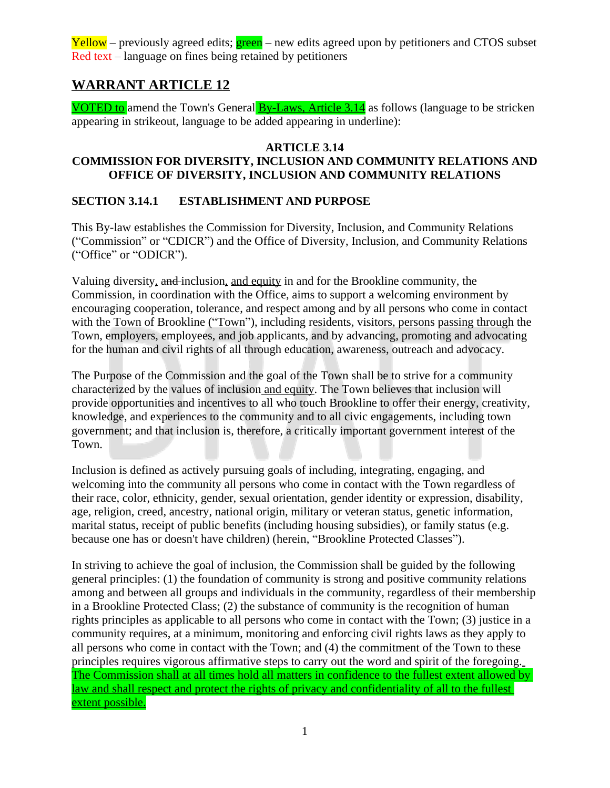# **WARRANT ARTICLE 12**

VOTED to amend the Town's General **By-Laws, Article 3.14** as follows (language to be stricken appearing in strikeout, language to be added appearing in underline):

#### **ARTICLE 3.14**

## **COMMISSION FOR DIVERSITY, INCLUSION AND COMMUNITY RELATIONS AND OFFICE OF DIVERSITY, INCLUSION AND COMMUNITY RELATIONS**

#### **SECTION 3.14.1 ESTABLISHMENT AND PURPOSE**

This By-law establishes the Commission for Diversity, Inclusion, and Community Relations ("Commission" or "CDICR") and the Office of Diversity, Inclusion, and Community Relations ("Office" or "ODICR").

Valuing diversity, and inclusion, and equity in and for the Brookline community, the Commission, in coordination with the Office, aims to support a welcoming environment by encouraging cooperation, tolerance, and respect among and by all persons who come in contact with the Town of Brookline ("Town"), including residents, visitors, persons passing through the Town, employers, employees, and job applicants, and by advancing, promoting and advocating for the human and civil rights of all through education, awareness, outreach and advocacy.

The Purpose of the Commission and the goal of the Town shall be to strive for a community characterized by the values of inclusion and equity. The Town believes that inclusion will provide opportunities and incentives to all who touch Brookline to offer their energy, creativity, knowledge, and experiences to the community and to all civic engagements, including town government; and that inclusion is, therefore, a critically important government interest of the Town.

Inclusion is defined as actively pursuing goals of including, integrating, engaging, and welcoming into the community all persons who come in contact with the Town regardless of their race, color, ethnicity, gender, sexual orientation, gender identity or expression, disability, age, religion, creed, ancestry, national origin, military or veteran status, genetic information, marital status, receipt of public benefits (including housing subsidies), or family status (e.g. because one has or doesn't have children) (herein, "Brookline Protected Classes").

In striving to achieve the goal of inclusion, the Commission shall be guided by the following general principles: (1) the foundation of community is strong and positive community relations among and between all groups and individuals in the community, regardless of their membership in a Brookline Protected Class; (2) the substance of community is the recognition of human rights principles as applicable to all persons who come in contact with the Town; (3) justice in a community requires, at a minimum, monitoring and enforcing civil rights laws as they apply to all persons who come in contact with the Town; and (4) the commitment of the Town to these principles requires vigorous affirmative steps to carry out the word and spirit of the foregoing. The Commission shall at all times hold all matters in confidence to the fullest extent allowed by law and shall respect and protect the rights of privacy and confidentiality of all to the fullest extent possible.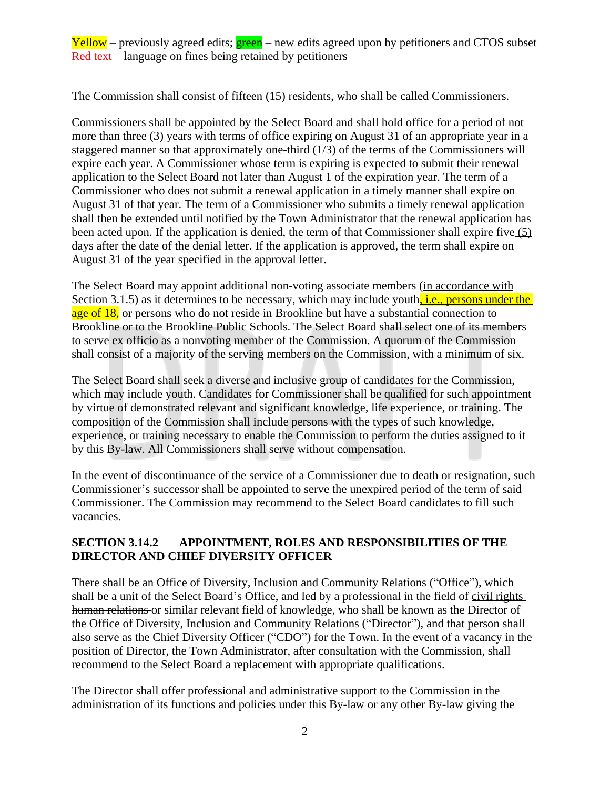The Commission shall consist of fifteen (15) residents, who shall be called Commissioners.

Commissioners shall be appointed by the Select Board and shall hold office for a period of not more than three (3) years with terms of office expiring on August 31 of an appropriate year in a staggered manner so that approximately one-third (1/3) of the terms of the Commissioners will expire each year. A Commissioner whose term is expiring is expected to submit their renewal application to the Select Board not later than August 1 of the expiration year. The term of a Commissioner who does not submit a renewal application in a timely manner shall expire on August 31 of that year. The term of a Commissioner who submits a timely renewal application shall then be extended until notified by the Town Administrator that the renewal application has been acted upon. If the application is denied, the term of that Commissioner shall expire five (5) days after the date of the denial letter. If the application is approved, the term shall expire on August 31 of the year specified in the approval letter.

The Select Board may appoint additional non-voting associate members (in accordance with Section 3.1.5) as it determines to be necessary, which may include youth $\frac{1}{n}$  i.e., persons under the age of 18, or persons who do not reside in Brookline but have a substantial connection to Brookline or to the Brookline Public Schools. The Select Board shall select one of its members to serve ex officio as a nonvoting member of the Commission. A quorum of the Commission shall consist of a majority of the serving members on the Commission, with a minimum of six.

The Select Board shall seek a diverse and inclusive group of candidates for the Commission, which may include youth. Candidates for Commissioner shall be qualified for such appointment by virtue of demonstrated relevant and significant knowledge, life experience, or training. The composition of the Commission shall include persons with the types of such knowledge, experience, or training necessary to enable the Commission to perform the duties assigned to it by this By-law. All Commissioners shall serve without compensation.

In the event of discontinuance of the service of a Commissioner due to death or resignation, such Commissioner's successor shall be appointed to serve the unexpired period of the term of said Commissioner. The Commission may recommend to the Select Board candidates to fill such vacancies.

## **SECTION 3.14.2 APPOINTMENT, ROLES AND RESPONSIBILITIES OF THE DIRECTOR AND CHIEF DIVERSITY OFFICER**

There shall be an Office of Diversity, Inclusion and Community Relations ("Office"), which shall be a unit of the Select Board's Office, and led by a professional in the field of civil rights human relations or similar relevant field of knowledge, who shall be known as the Director of the Office of Diversity, Inclusion and Community Relations ("Director"), and that person shall also serve as the Chief Diversity Officer ("CDO") for the Town. In the event of a vacancy in the position of Director, the Town Administrator, after consultation with the Commission, shall recommend to the Select Board a replacement with appropriate qualifications.

The Director shall offer professional and administrative support to the Commission in the administration of its functions and policies under this By-law or any other By-law giving the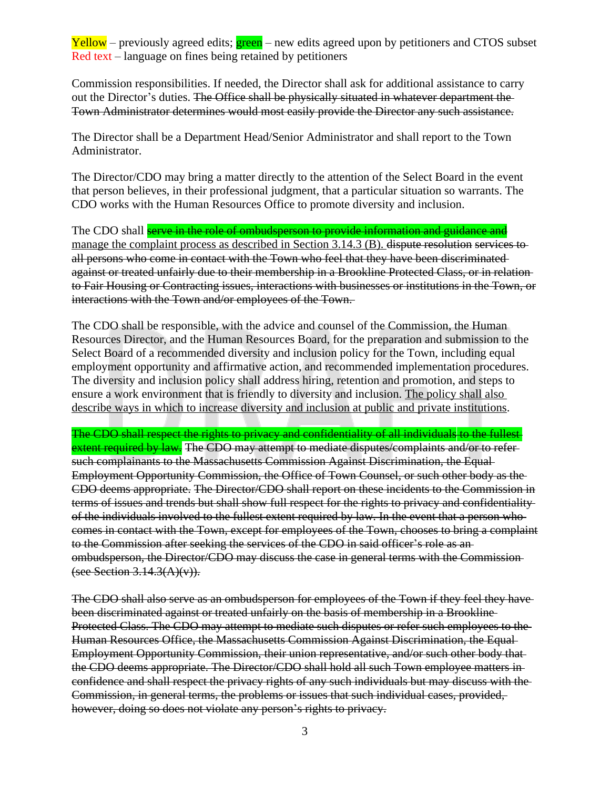Commission responsibilities. If needed, the Director shall ask for additional assistance to carry out the Director's duties. The Office shall be physically situated in whatever department the Town Administrator determines would most easily provide the Director any such assistance.

The Director shall be a Department Head/Senior Administrator and shall report to the Town Administrator.

The Director/CDO may bring a matter directly to the attention of the Select Board in the event that person believes, in their professional judgment, that a particular situation so warrants. The CDO works with the Human Resources Office to promote diversity and inclusion.

The CDO shall serve in the role of ombudsperson to provide information and guidance and manage the complaint process as described in Section 3.14.3 (B). dispute resolution services toall persons who come in contact with the Town who feel that they have been discriminated against or treated unfairly due to their membership in a Brookline Protected Class, or in relation to Fair Housing or Contracting issues, interactions with businesses or institutions in the Town, or interactions with the Town and/or employees of the Town.

The CDO shall be responsible, with the advice and counsel of the Commission, the Human Resources Director, and the Human Resources Board, for the preparation and submission to the Select Board of a recommended diversity and inclusion policy for the Town, including equal employment opportunity and affirmative action, and recommended implementation procedures. The diversity and inclusion policy shall address hiring, retention and promotion, and steps to ensure a work environment that is friendly to diversity and inclusion. The policy shall also describe ways in which to increase diversity and inclusion at public and private institutions.

The CDO shall respect the rights to privacy and confidentiality of all individuals to the fullest extent required by law. The CDO may attempt to mediate disputes/complaints and/or to refersuch complainants to the Massachusetts Commission Against Discrimination, the Equal-Employment Opportunity Commission, the Office of Town Counsel, or such other body as the CDO deems appropriate. The Director/CDO shall report on these incidents to the Commission in terms of issues and trends but shall show full respect for the rights to privacy and confidentiality of the individuals involved to the fullest extent required by law. In the event that a person who comes in contact with the Town, except for employees of the Town, chooses to bring a complaint to the Commission after seeking the services of the CDO in said officer's role as an ombudsperson, the Director/CDO may discuss the case in general terms with the Commission (see Section  $3.14.3(A)(v)$ ).

The CDO shall also serve as an ombudsperson for employees of the Town if they feel they have been discriminated against or treated unfairly on the basis of membership in a Brookline Protected Class. The CDO may attempt to mediate such disputes or refer such employees to the Human Resources Office, the Massachusetts Commission Against Discrimination, the Equal Employment Opportunity Commission, their union representative, and/or such other body that the CDO deems appropriate. The Director/CDO shall hold all such Town employee matters in confidence and shall respect the privacy rights of any such individuals but may discuss with the Commission, in general terms, the problems or issues that such individual cases, provided, however, doing so does not violate any person's rights to privacy.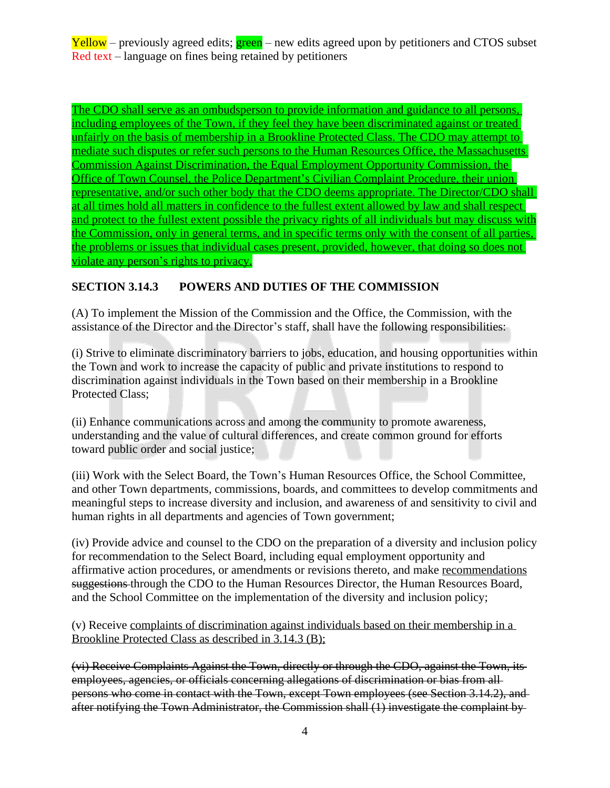The CDO shall serve as an ombudsperson to provide information and guidance to all persons, including employees of the Town, if they feel they have been discriminated against or treated unfairly on the basis of membership in a Brookline Protected Class. The CDO may attempt to mediate such disputes or refer such persons to the Human Resources Office, the Massachusetts Commission Against Discrimination, the Equal Employment Opportunity Commission, the Office of Town Counsel, the Police Department's Civilian Complaint Procedure, their union representative, and/or such other body that the CDO deems appropriate. The Director/CDO shall at all times hold all matters in confidence to the fullest extent allowed by law and shall respect and protect to the fullest extent possible the privacy rights of all individuals but may discuss with the Commission, only in general terms, and in specific terms only with the consent of all parties, the problems or issues that individual cases present, provided, however, that doing so does not violate any person's rights to privacy.

## **SECTION 3.14.3 POWERS AND DUTIES OF THE COMMISSION**

(A) To implement the Mission of the Commission and the Office, the Commission, with the assistance of the Director and the Director's staff, shall have the following responsibilities:

(i) Strive to eliminate discriminatory barriers to jobs, education, and housing opportunities within the Town and work to increase the capacity of public and private institutions to respond to discrimination against individuals in the Town based on their membership in a Brookline Protected Class;

(ii) Enhance communications across and among the community to promote awareness, understanding and the value of cultural differences, and create common ground for efforts toward public order and social justice;

(iii) Work with the Select Board, the Town's Human Resources Office, the School Committee, and other Town departments, commissions, boards, and committees to develop commitments and meaningful steps to increase diversity and inclusion, and awareness of and sensitivity to civil and human rights in all departments and agencies of Town government;

(iv) Provide advice and counsel to the CDO on the preparation of a diversity and inclusion policy for recommendation to the Select Board, including equal employment opportunity and affirmative action procedures, or amendments or revisions thereto, and make recommendations suggestions through the CDO to the Human Resources Director, the Human Resources Board, and the School Committee on the implementation of the diversity and inclusion policy;

(v) Receive complaints of discrimination against individuals based on their membership in a Brookline Protected Class as described in 3.14.3 (B);

(vi) Receive Complaints Against the Town, directly or through the CDO, against the Town, its employees, agencies, or officials concerning allegations of discrimination or bias from all persons who come in contact with the Town, except Town employees (see Section 3.14.2), and after notifying the Town Administrator, the Commission shall (1) investigate the complaint by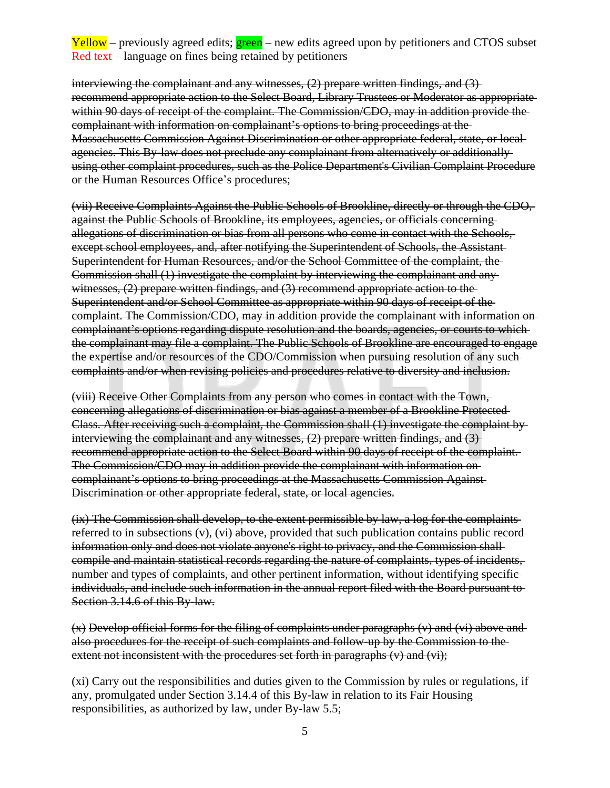interviewing the complainant and any witnesses, (2) prepare written findings, and (3) recommend appropriate action to the Select Board, Library Trustees or Moderator as appropriate within 90 days of receipt of the complaint. The Commission/CDO, may in addition provide the complainant with information on complainant's options to bring proceedings at the Massachusetts Commission Against Discrimination or other appropriate federal, state, or local agencies. This By-law does not preclude any complainant from alternatively or additionally using other complaint procedures, such as the Police Department's Civilian Complaint Procedure or the Human Resources Office's procedures;

(vii) Receive Complaints Against the Public Schools of Brookline, directly or through the CDO, against the Public Schools of Brookline, its employees, agencies, or officials concerning allegations of discrimination or bias from all persons who come in contact with the Schools, except school employees, and, after notifying the Superintendent of Schools, the Assistant Superintendent for Human Resources, and/or the School Committee of the complaint, the Commission shall (1) investigate the complaint by interviewing the complainant and any witnesses, (2) prepare written findings, and (3) recommend appropriate action to the Superintendent and/or School Committee as appropriate within 90 days of receipt of the complaint. The Commission/CDO, may in addition provide the complainant with information on complainant's options regarding dispute resolution and the boards, agencies, or courts to which the complainant may file a complaint. The Public Schools of Brookline are encouraged to engage the expertise and/or resources of the CDO/Commission when pursuing resolution of any such complaints and/or when revising policies and procedures relative to diversity and inclusion.

(viii) Receive Other Complaints from any person who comes in contact with the Town, concerning allegations of discrimination or bias against a member of a Brookline Protected Class. After receiving such a complaint, the Commission shall (1) investigate the complaint by interviewing the complainant and any witnesses, (2) prepare written findings, and (3) recommend appropriate action to the Select Board within 90 days of receipt of the complaint. The Commission/CDO may in addition provide the complainant with information on complainant's options to bring proceedings at the Massachusetts Commission Against Discrimination or other appropriate federal, state, or local agencies.

(ix) The Commission shall develop, to the extent permissible by law, a log for the complaints referred to in subsections  $(v)$ ,  $(vi)$  above, provided that such publication contains public recordinformation only and does not violate anyone's right to privacy, and the Commission shall compile and maintain statistical records regarding the nature of complaints, types of incidents, number and types of complaints, and other pertinent information, without identifying specific individuals, and include such information in the annual report filed with the Board pursuant to Section 3.14.6 of this By-law.

(x) Develop official forms for the filing of complaints under paragraphs (v) and (vi) above and also procedures for the receipt of such complaints and follow-up by the Commission to the extent not inconsistent with the procedures set forth in paragraphs  $(v)$  and  $(v)$ ;

(xi) Carry out the responsibilities and duties given to the Commission by rules or regulations, if any, promulgated under Section 3.14.4 of this By-law in relation to its Fair Housing responsibilities, as authorized by law, under By-law 5.5;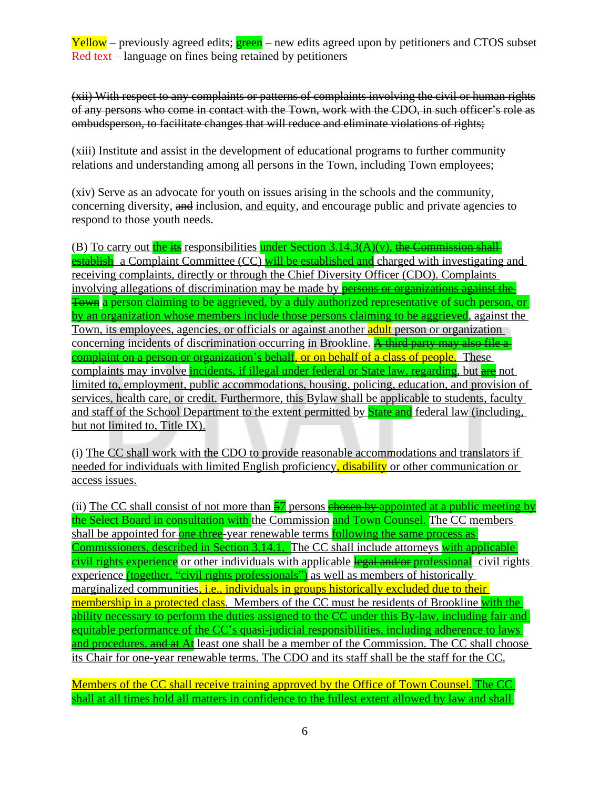(xii) With respect to any complaints or patterns of complaints involving the civil or human rights of any persons who come in contact with the Town, work with the CDO, in such officer's role as ombudsperson, to facilitate changes that will reduce and eliminate violations of rights;

(xiii) Institute and assist in the development of educational programs to further community relations and understanding among all persons in the Town, including Town employees;

(xiv) Serve as an advocate for youth on issues arising in the schools and the community, concerning diversity, and inclusion, and equity, and encourage public and private agencies to respond to those youth needs.

(B) To carry out the its responsibilities under Section  $3.14.3(A)(v)$ , the Commission shall establish a Complaint Committee (CC) will be established and charged with investigating and receiving complaints, directly or through the Chief Diversity Officer (CDO). Complaints involving allegations of discrimination may be made by **persons or organizations against the** Town a person claiming to be aggrieved, by a duly authorized representative of such person, or by an organization whose members include those persons claiming to be aggrieved, against the Town, its employees, agencies, or officials or against another **adult** person or organization concerning incidents of discrimination occurring in Brookline. A third party may also file  $a$ complaint on a person or organization's behalf, or on behalf of a class of people. These complaints may involve *incidents, if illegal under federal or State law, regarding*, but are not limited to, employment, public accommodations, housing, policing, education, and provision of services, health care, or credit. Furthermore, this Bylaw shall be applicable to students, faculty and staff of the School Department to the extent permitted by **State and** federal law (including, but not limited to, Title IX).

(i) The CC shall work with the CDO to provide reasonable accommodations and translators if needed for individuals with limited English proficiency, disability or other communication or access issues.

(ii) The CC shall consist of not more than  $\frac{57}{2}$  persons chosen by appointed at a public meeting by the Select Board in consultation with the Commission and Town Counsel. The CC members shall be appointed for one three-year renewable terms following the same process as Commissioners, described in Section 3.14.1. The CC shall include attorneys with applicable civil rights experience or other individuals with applicable legal and/or professional civil rights experience (together, "civil rights professionals") as well as members of historically marginalized communities, *i.e.*, individuals in groups historically excluded due to their membership in a protected class. Members of the CC must be residents of Brookline with the ability necessary to perform the duties assigned to the CC under this By-law, including fair and equitable performance of the CC's quasi-judicial responsibilities, including adherence to laws and procedures, and at At least one shall be a member of the Commission. The CC shall choose its Chair for one-year renewable terms. The CDO and its staff shall be the staff for the CC.

Members of the CC shall receive training approved by the Office of Town Counsel. The CC shall at all times hold all matters in confidence to the fullest extent allowed by law and shall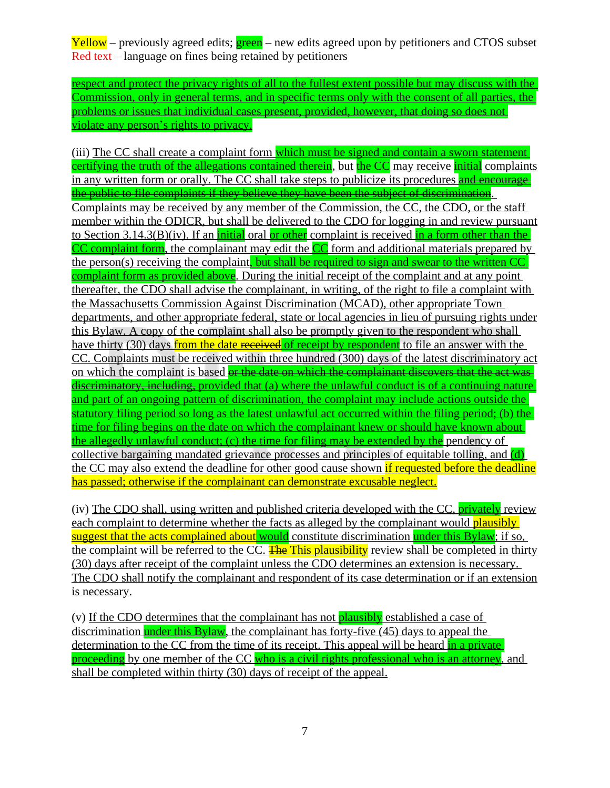respect and protect the privacy rights of all to the fullest extent possible but may discuss with the Commission, only in general terms, and in specific terms only with the consent of all parties, the problems or issues that individual cases present, provided, however, that doing so does not violate any person's rights to privacy.

(iii) The CC shall create a complaint form which must be signed and contain a sworn statement certifying the truth of the allegations contained therein, but the CC may receive initial complaints in any written form or orally. The CC shall take steps to publicize its procedures and encourage the public to file complaints if they believe they have been the subject of discrimination. Complaints may be received by any member of the Commission, the CC, the CDO, or the staff member within the ODICR, but shall be delivered to the CDO for logging in and review pursuant to Section 3.14.3(B)(iv). If an *initial* oral or other complaint is received in a form other than the CC complaint form, the complainant may edit the CC form and additional materials prepared by the person(s) receiving the complaint, but shall be required to sign and swear to the written CC complaint form as provided above. During the initial receipt of the complaint and at any point thereafter, the CDO shall advise the complainant, in writing, of the right to file a complaint with the Massachusetts Commission Against Discrimination (MCAD), other appropriate Town departments, and other appropriate federal, state or local agencies in lieu of pursuing rights under this Bylaw. A copy of the complaint shall also be promptly given to the respondent who shall have thirty (30) days from the date received of receipt by respondent to file an answer with the CC. Complaints must be received within three hundred (300) days of the latest discriminatory act on which the complaint is based or the date on which the complainant discovers that the act was discriminatory, including, provided that (a) where the unlawful conduct is of a continuing nature and part of an ongoing pattern of discrimination, the complaint may include actions outside the statutory filing period so long as the latest unlawful act occurred within the filing period; (b) the time for filing begins on the date on which the complainant knew or should have known about the allegedly unlawful conduct; (c) the time for filing may be extended by the pendency of collective bargaining mandated grievance processes and principles of equitable tolling, and (d) the CC may also extend the deadline for other good cause shown if requested before the deadline has passed; otherwise if the complainant can demonstrate excusable neglect.

(iv) The CDO shall, using written and published criteria developed with the CC, **privately** review each complaint to determine whether the facts as alleged by the complainant would **plausibly** suggest that the acts complained about would constitute discrimination under this Bylaw; if so, the complaint will be referred to the CC. The This plausibility review shall be completed in thirty (30) days after receipt of the complaint unless the CDO determines an extension is necessary. The CDO shall notify the complainant and respondent of its case determination or if an extension is necessary.

(v) If the CDO determines that the complainant has not plausibly established a case of discrimination under this  $Bylaw$ , the complainant has forty-five (45) days to appeal the determination to the CC from the time of its receipt. This appeal will be heard in a private proceeding by one member of the CC who is a civil rights professional who is an attorney, and shall be completed within thirty (30) days of receipt of the appeal.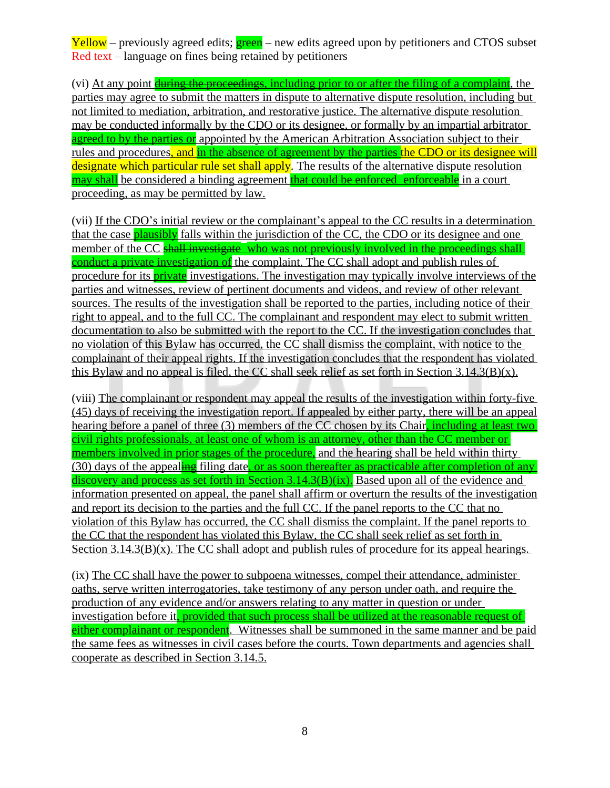(vi) At any point during the proceedings, including prior to or after the filing of a complaint, the parties may agree to submit the matters in dispute to alternative dispute resolution, including but not limited to mediation, arbitration, and restorative justice. The alternative dispute resolution may be conducted informally by the CDO or its designee, or formally by an impartial arbitrator agreed to by the parties or appointed by the American Arbitration Association subject to their rules and procedures, and in the absence of agreement by the parties the CDO or its designee will designate which particular rule set shall apply. The results of the alternative dispute resolution may shall be considered a binding agreement that could be enforced enforceable in a court proceeding, as may be permitted by law.

(vii) If the CDO's initial review or the complainant's appeal to the CC results in a determination that the case **plausibly** falls within the jurisdiction of the CC, the CDO or its designee and one member of the CC shall investigate who was not previously involved in the proceedings shall conduct a private investigation of the complaint. The CC shall adopt and publish rules of procedure for its **private** investigations. The investigation may typically involve interviews of the parties and witnesses, review of pertinent documents and videos, and review of other relevant sources. The results of the investigation shall be reported to the parties, including notice of their right to appeal, and to the full CC. The complainant and respondent may elect to submit written documentation to also be submitted with the report to the CC. If the investigation concludes that no violation of this Bylaw has occurred, the CC shall dismiss the complaint, with notice to the complainant of their appeal rights. If the investigation concludes that the respondent has violated this Bylaw and no appeal is filed, the CC shall seek relief as set forth in Section  $3.14.3(B)(x)$ .

(viii) The complainant or respondent may appeal the results of the investigation within forty-five (45) days of receiving the investigation report. If appealed by either party, there will be an appeal hearing before a panel of three (3) members of the CC chosen by its Chair, including at least two civil rights professionals, at least one of whom is an attorney, other than the CC member or members involved in prior stages of the procedure, and the hearing shall be held within thirty  $(30)$  days of the appealing filing date, or as soon thereafter as practicable after completion of any discovery and process as set forth in Section  $3.14.3(B)(ix)$ . Based upon all of the evidence and information presented on appeal, the panel shall affirm or overturn the results of the investigation and report its decision to the parties and the full CC. If the panel reports to the CC that no violation of this Bylaw has occurred, the CC shall dismiss the complaint. If the panel reports to the CC that the respondent has violated this Bylaw, the CC shall seek relief as set forth in Section 3.14.3(B)(x). The CC shall adopt and publish rules of procedure for its appeal hearings.

(ix) The CC shall have the power to subpoena witnesses, compel their attendance, administer oaths, serve written interrogatories, take testimony of any person under oath, and require the production of any evidence and/or answers relating to any matter in question or under investigation before it, provided that such process shall be utilized at the reasonable request of either complainant or respondent. Witnesses shall be summoned in the same manner and be paid the same fees as witnesses in civil cases before the courts. Town departments and agencies shall cooperate as described in Section 3.14.5.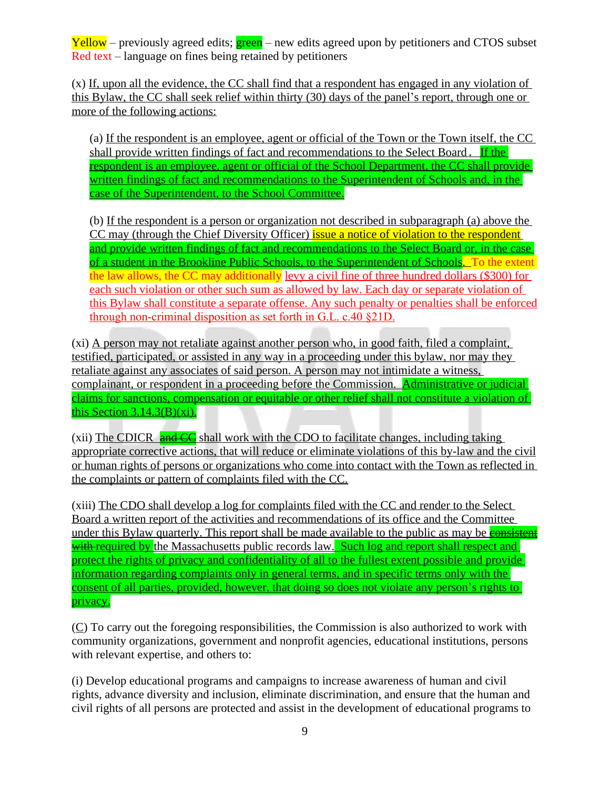(x) If, upon all the evidence, the CC shall find that a respondent has engaged in any violation of this Bylaw, the CC shall seek relief within thirty (30) days of the panel's report, through one or more of the following actions:

(a) If the respondent is an employee, agent or official of the Town or the Town itself, the CC shall provide written findings of fact and recommendations to the Select Board. If the respondent is an employee, agent or official of the School Department, the CC shall provide written findings of fact and recommendations to the Superintendent of Schools and, in the case of the Superintendent, to the School Committee.

(b) If the respondent is a person or organization not described in subparagraph (a) above the CC may (through the Chief Diversity Officer) issue a notice of violation to the respondent and provide written findings of fact and recommendations to the Select Board or, in the case of a student in the Brookline Public Schools, to the Superintendent of Schools. To the extent the law allows, the CC may additionally levy a civil fine of three hundred dollars (\$300) for each such violation or other such sum as allowed by law. Each day or separate violation of this Bylaw shall constitute a separate offense. Any such penalty or penalties shall be enforced through non-criminal disposition as set forth in G.L. c.40 §21D.

(xi) A person may not retaliate against another person who, in good faith, filed a complaint, testified, participated, or assisted in any way in a proceeding under this bylaw, nor may they retaliate against any associates of said person. A person may not intimidate a witness, complainant, or respondent in a proceeding before the Commission. Administrative or judicial claims for sanctions, compensation or equitable or other relief shall not constitute a violation of this Section  $3.14.3(B)(xi)$ .

(xii) The CDICR  $\frac{1}{\text{and }CC}$  shall work with the CDO to facilitate changes, including taking appropriate corrective actions, that will reduce or eliminate violations of this by-law and the civil or human rights of persons or organizations who come into contact with the Town as reflected in the complaints or pattern of complaints filed with the CC.

(xiii) The CDO shall develop a log for complaints filed with the CC and render to the Select Board a written report of the activities and recommendations of its office and the Committee under this Bylaw quarterly. This report shall be made available to the public as may be **consistent** with required by the Massachusetts public records law. Such log and report shall respect and protect the rights of privacy and confidentiality of all to the fullest extent possible and provide information regarding complaints only in general terms, and in specific terms only with the consent of all parties, provided, however, that doing so does not violate any person's rights to privacy.

 $(C)$  To carry out the foregoing responsibilities, the Commission is also authorized to work with community organizations, government and nonprofit agencies, educational institutions, persons with relevant expertise, and others to:

(i) Develop educational programs and campaigns to increase awareness of human and civil rights, advance diversity and inclusion, eliminate discrimination, and ensure that the human and civil rights of all persons are protected and assist in the development of educational programs to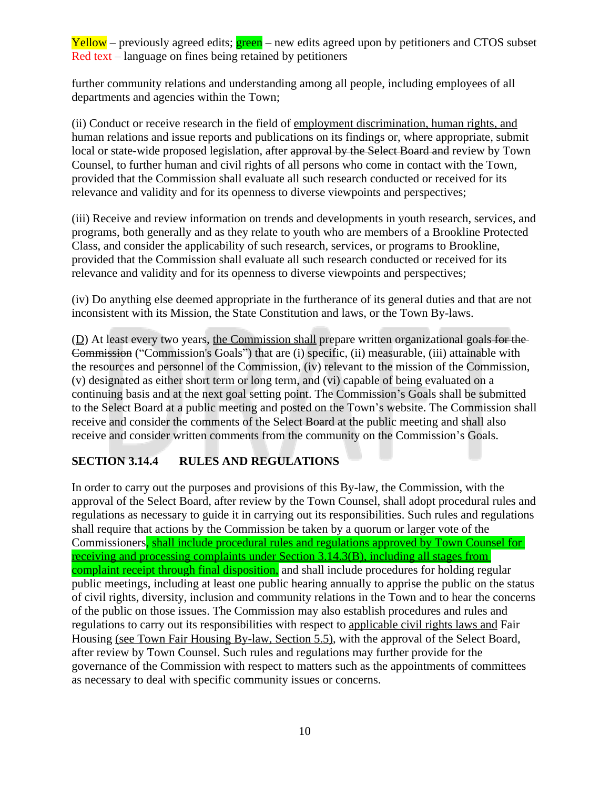further community relations and understanding among all people, including employees of all departments and agencies within the Town;

(ii) Conduct or receive research in the field of employment discrimination, human rights, and human relations and issue reports and publications on its findings or, where appropriate, submit local or state-wide proposed legislation, after approval by the Select Board and review by Town Counsel, to further human and civil rights of all persons who come in contact with the Town, provided that the Commission shall evaluate all such research conducted or received for its relevance and validity and for its openness to diverse viewpoints and perspectives;

(iii) Receive and review information on trends and developments in youth research, services, and programs, both generally and as they relate to youth who are members of a Brookline Protected Class, and consider the applicability of such research, services, or programs to Brookline, provided that the Commission shall evaluate all such research conducted or received for its relevance and validity and for its openness to diverse viewpoints and perspectives;

(iv) Do anything else deemed appropriate in the furtherance of its general duties and that are not inconsistent with its Mission, the State Constitution and laws, or the Town By-laws.

 $(D)$  At least every two years, the Commission shall prepare written organizational goals for the Commission ("Commission's Goals") that are (i) specific, (ii) measurable, (iii) attainable with the resources and personnel of the Commission, (iv) relevant to the mission of the Commission, (v) designated as either short term or long term, and (vi) capable of being evaluated on a continuing basis and at the next goal setting point. The Commission's Goals shall be submitted to the Select Board at a public meeting and posted on the Town's website. The Commission shall receive and consider the comments of the Select Board at the public meeting and shall also receive and consider written comments from the community on the Commission's Goals.

# **SECTION 3.14.4 RULES AND REGULATIONS**

In order to carry out the purposes and provisions of this By-law, the Commission, with the approval of the Select Board, after review by the Town Counsel, shall adopt procedural rules and regulations as necessary to guide it in carrying out its responsibilities. Such rules and regulations shall require that actions by the Commission be taken by a quorum or larger vote of the Commissioners, shall include procedural rules and regulations approved by Town Counsel for receiving and processing complaints under Section 3.14.3(B), including all stages from complaint receipt through final disposition, and shall include procedures for holding regular public meetings, including at least one public hearing annually to apprise the public on the status of civil rights, diversity, inclusion and community relations in the Town and to hear the concerns of the public on those issues. The Commission may also establish procedures and rules and regulations to carry out its responsibilities with respect to applicable civil rights laws and Fair Housing (see Town Fair Housing By-law, Section 5.5), with the approval of the Select Board, after review by Town Counsel. Such rules and regulations may further provide for the governance of the Commission with respect to matters such as the appointments of committees as necessary to deal with specific community issues or concerns.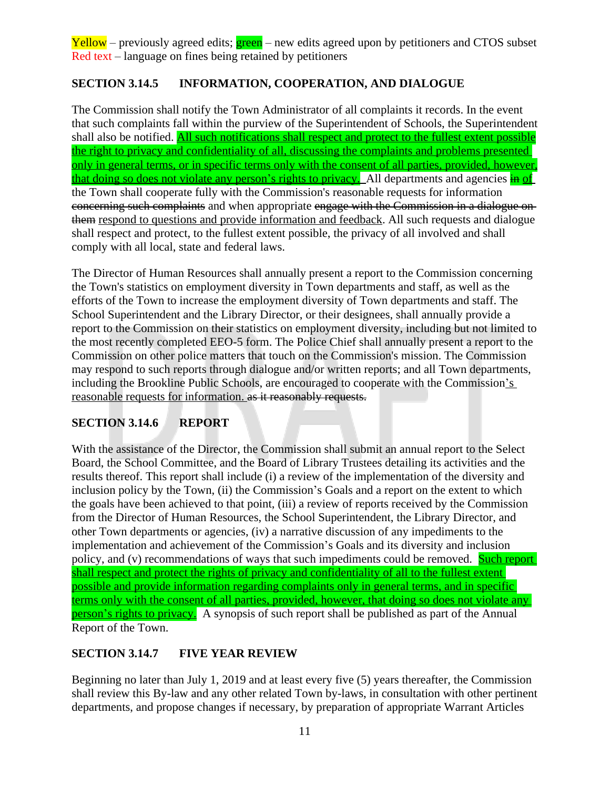## **SECTION 3.14.5 INFORMATION, COOPERATION, AND DIALOGUE**

The Commission shall notify the Town Administrator of all complaints it records. In the event that such complaints fall within the purview of the Superintendent of Schools, the Superintendent shall also be notified. All such notifications shall respect and protect to the fullest extent possible the right to privacy and confidentiality of all, discussing the complaints and problems presented only in general terms, or in specific terms only with the consent of all parties, provided, however, that doing so does not violate any person's rights to privacy. All departments and agencies in of the Town shall cooperate fully with the Commission's reasonable requests for information concerning such complaints and when appropriate engage with the Commission in a dialogue on them respond to questions and provide information and feedback. All such requests and dialogue shall respect and protect, to the fullest extent possible, the privacy of all involved and shall comply with all local, state and federal laws.

The Director of Human Resources shall annually present a report to the Commission concerning the Town's statistics on employment diversity in Town departments and staff, as well as the efforts of the Town to increase the employment diversity of Town departments and staff. The School Superintendent and the Library Director, or their designees, shall annually provide a report to the Commission on their statistics on employment diversity, including but not limited to the most recently completed EEO-5 form. The Police Chief shall annually present a report to the Commission on other police matters that touch on the Commission's mission. The Commission may respond to such reports through dialogue and/or written reports; and all Town departments, including the Brookline Public Schools, are encouraged to cooperate with the Commission's reasonable requests for information. as it reasonably requests.

#### **SECTION 3.14.6 REPORT**

With the assistance of the Director, the Commission shall submit an annual report to the Select Board, the School Committee, and the Board of Library Trustees detailing its activities and the results thereof. This report shall include (i) a review of the implementation of the diversity and inclusion policy by the Town, (ii) the Commission's Goals and a report on the extent to which the goals have been achieved to that point, (iii) a review of reports received by the Commission from the Director of Human Resources, the School Superintendent, the Library Director, and other Town departments or agencies, (iv) a narrative discussion of any impediments to the implementation and achievement of the Commission's Goals and its diversity and inclusion policy, and (v) recommendations of ways that such impediments could be removed. Such report shall respect and protect the rights of privacy and confidentiality of all to the fullest extent possible and provide information regarding complaints only in general terms, and in specific terms only with the consent of all parties, provided, however, that doing so does not violate any person's rights to privacy. A synopsis of such report shall be published as part of the Annual Report of the Town.

#### **SECTION 3.14.7 FIVE YEAR REVIEW**

Beginning no later than July 1, 2019 and at least every five (5) years thereafter, the Commission shall review this By-law and any other related Town by-laws, in consultation with other pertinent departments, and propose changes if necessary, by preparation of appropriate Warrant Articles